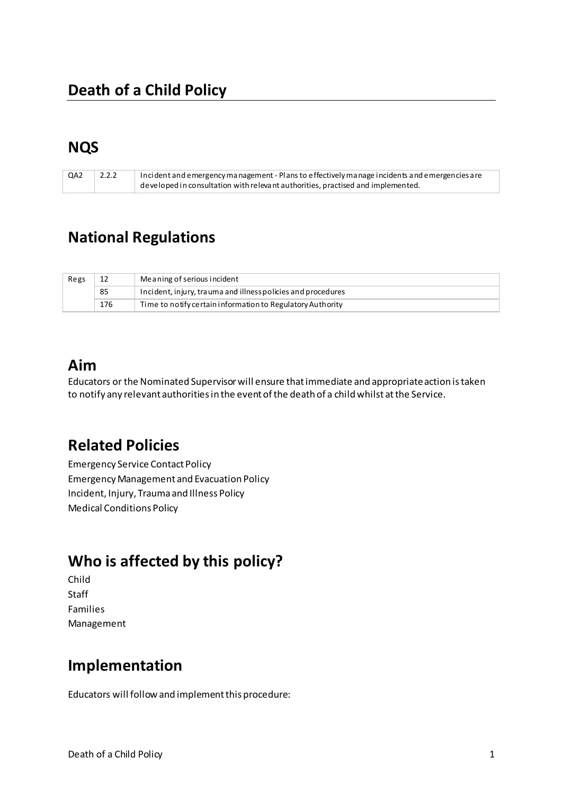### **NQS**

| QA2 | 2.2.2 | Incident and emergency management - Plans to effectively manage incidents and emergencies are |
|-----|-------|-----------------------------------------------------------------------------------------------|
|     |       | $\perp$ developed in consultation with relevant authorities, practised and implemented.       |

## **National Regulations**

| Regs |     | Meaning of serious incident                                  |
|------|-----|--------------------------------------------------------------|
|      | 85  | Incident, injury, trauma and illness policies and procedures |
|      | 176 | Time to notify certain information to Regulatory Authority   |

# **Aim**

Educators or the Nominated Supervisor will ensure that immediate and appropriate action is taken to notify any relevant authorities in the event of the death of a child whilst at the Service.

# **Related Policies**

Emergency Service Contact Policy Emergency Management and Evacuation Policy Incident, Injury, Trauma and Illness Policy Medical Conditions Policy

# **Who is affected by this policy?**

Child **Staff** Families Management

### **Implementation**

Educators will follow and implement this procedure: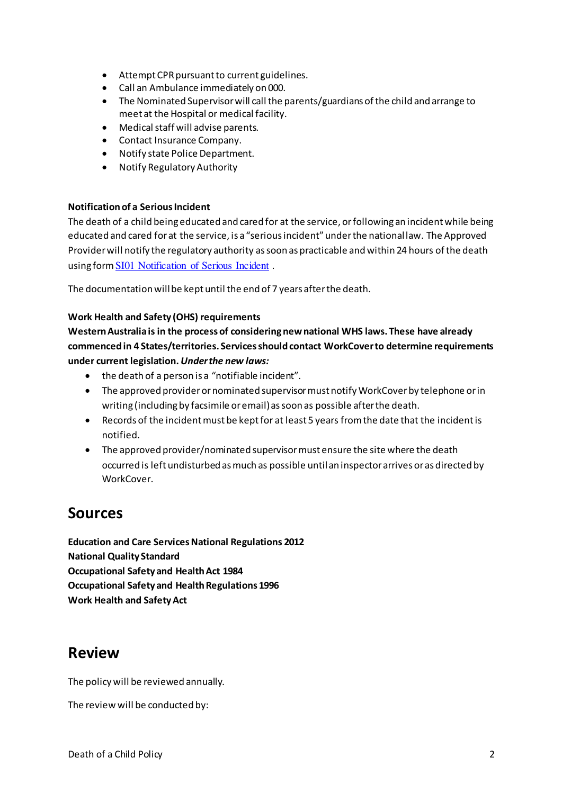- Attempt CPR pursuant to current guidelines.
- Call an Ambulance immediately on 000.
- The Nominated Supervisor will call the parents/guardians of the child and arrange to meet at the Hospital or medical facility.
- Medical staff will advise parents.
- Contact Insurance Company.
- Notify state Police Department.
- Notify Regulatory Authority

#### **Notification of a Serious Incident**

The death of a child being educated and cared for at the service, or following an incident while being educated and cared for at the service, is a "serious incident" under the national law. The Approved Provider will notify the regulatory authority as soon as practicable and within 24 hours of the death using form [SI01 Notification of Serious Incident](http://acecqa.gov.au/application-forms/) .

The documentation will be kept until the end of 7 years after the death.

#### **Work Health and Safety (OHS) requirements**

**Western Australia is in the process of considering new national WHS laws. These have already commenced in 4 States/territories. Services should contact WorkCover to determine requirements under current legislation.** *Under the new laws:* 

- $\bullet$  the death of a person is a "notifiable incident".
- The approved provider or nominated supervisor must notify WorkCover by telephone or in writing (including by facsimile or email) as soon as possible after the death.
- Records of the incident must be kept for at least 5 years from the date that the incident is notified.
- The approved provider/nominated supervisor must ensure the site where the death occurred is left undisturbed as much as possible until an inspector arrives or as directed by WorkCover.

#### **Sources**

**Education and Care Services National Regulations 2012 National Quality Standard Occupational Safety and Health Act 1984 Occupational Safety and Health Regulations 1996 Work Health and Safety Act** 

#### **Review**

The policy will be reviewed annually.

The review will be conducted by: